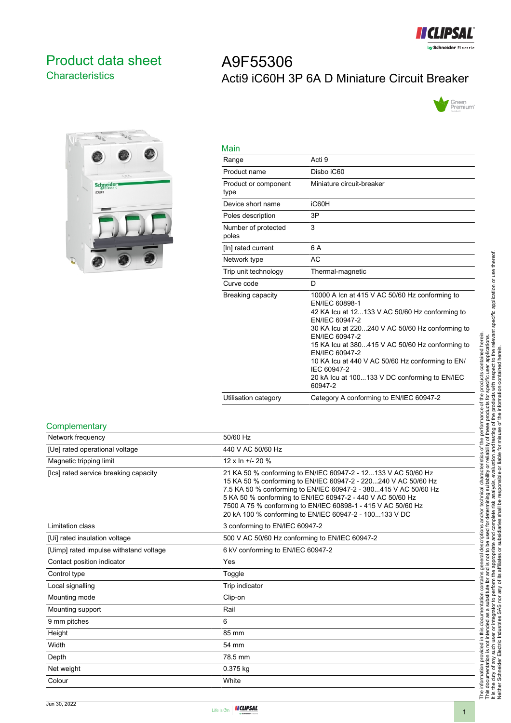

# <span id="page-0-0"></span>Product data sheet **Characteristics**

# A9F55306 Acti9 iC60H 3P 6A D Miniature Circuit Breaker





| Main                         |                                                                                                                                                                                                                                                                                                                                                                                                               |
|------------------------------|---------------------------------------------------------------------------------------------------------------------------------------------------------------------------------------------------------------------------------------------------------------------------------------------------------------------------------------------------------------------------------------------------------------|
| Range                        | Acti 9                                                                                                                                                                                                                                                                                                                                                                                                        |
| Product name                 | Disbo iC60                                                                                                                                                                                                                                                                                                                                                                                                    |
| Product or component<br>type | Miniature circuit-breaker                                                                                                                                                                                                                                                                                                                                                                                     |
| Device short name            | iC60H                                                                                                                                                                                                                                                                                                                                                                                                         |
| Poles description            | 3P                                                                                                                                                                                                                                                                                                                                                                                                            |
| Number of protected<br>poles | 3                                                                                                                                                                                                                                                                                                                                                                                                             |
| [In] rated current           | 6 A                                                                                                                                                                                                                                                                                                                                                                                                           |
| Network type                 | AC                                                                                                                                                                                                                                                                                                                                                                                                            |
| Trip unit technology         | Thermal-magnetic                                                                                                                                                                                                                                                                                                                                                                                              |
| Curve code                   | D                                                                                                                                                                                                                                                                                                                                                                                                             |
| Breaking capacity            | 10000 A Icn at 415 V AC 50/60 Hz conforming to<br>EN/IEC 60898-1<br>42 KA Icu at 12133 V AC 50/60 Hz conforming to<br>EN/IEC 60947-2<br>30 KA lcu at 220240 V AC 50/60 Hz conforming to<br>EN/IEC 60947-2<br>15 KA Icu at 380415 V AC 50/60 Hz conforming to<br>EN/IEC 60947-2<br>10 KA lcu at 440 V AC 50/60 Hz conforming to EN/<br>IEC 60947-2<br>20 kA lcu at 100133 V DC conforming to EN/IEC<br>60947-2 |
| Utilisation category         | Category A conforming to EN/IEC 60947-2                                                                                                                                                                                                                                                                                                                                                                       |

#### **Complementary**

| Network frequency                      | 50/60 Hz                                                                                                                                                                                                                                                                                                                                                                                   |
|----------------------------------------|--------------------------------------------------------------------------------------------------------------------------------------------------------------------------------------------------------------------------------------------------------------------------------------------------------------------------------------------------------------------------------------------|
| [Ue] rated operational voltage         | 440 V AC 50/60 Hz                                                                                                                                                                                                                                                                                                                                                                          |
| Magnetic tripping limit                | 12 x ln +/- 20 %                                                                                                                                                                                                                                                                                                                                                                           |
| [Ics] rated service breaking capacity  | 21 KA 50 % conforming to EN/IEC 60947-2 - 12133 V AC 50/60 Hz<br>15 KA 50 % conforming to EN/IEC 60947-2 - 220240 V AC 50/60 Hz<br>7.5 KA 50 % conforming to EN/IEC 60947-2 - 380415 V AC 50/60 Hz<br>5 KA 50 % conforming to EN/IEC 60947-2 - 440 V AC 50/60 Hz<br>7500 A 75 % conforming to EN/IEC 60898-1 - 415 V AC 50/60 Hz<br>20 kA 100 % conforming to EN/IEC 60947-2 - 100133 V DC |
| Limitation class                       | 3 conforming to EN/IEC 60947-2                                                                                                                                                                                                                                                                                                                                                             |
| [Ui] rated insulation voltage          | 500 V AC 50/60 Hz conforming to EN/IEC 60947-2                                                                                                                                                                                                                                                                                                                                             |
| [Uimp] rated impulse withstand voltage | 6 kV conforming to EN/IEC 60947-2                                                                                                                                                                                                                                                                                                                                                          |
| Contact position indicator             | Yes                                                                                                                                                                                                                                                                                                                                                                                        |
| Control type                           | Toggle                                                                                                                                                                                                                                                                                                                                                                                     |
| Local signalling                       | Trip indicator                                                                                                                                                                                                                                                                                                                                                                             |
| Mounting mode                          | Clip-on                                                                                                                                                                                                                                                                                                                                                                                    |
| Mounting support                       | Rail                                                                                                                                                                                                                                                                                                                                                                                       |
| 9 mm pitches                           | 6                                                                                                                                                                                                                                                                                                                                                                                          |
| Height                                 | 85 mm                                                                                                                                                                                                                                                                                                                                                                                      |
| Width                                  | 54 mm                                                                                                                                                                                                                                                                                                                                                                                      |
| Depth                                  | 78.5 mm                                                                                                                                                                                                                                                                                                                                                                                    |
| Net weight                             | 0.375 kg                                                                                                                                                                                                                                                                                                                                                                                   |
| Colour                                 | White                                                                                                                                                                                                                                                                                                                                                                                      |